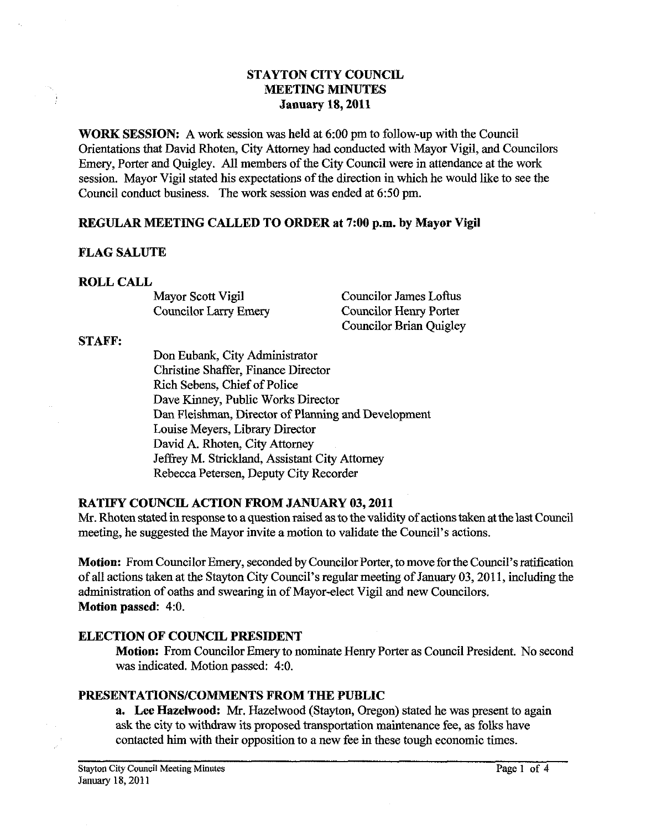# **STAYTON CITY COUNCIL MEETING MINUTES January 18,2011**

**WORK SESSION:** A work session was held at **6:00** pm to follow-up with the Council Orientations that David Rhoten, City Attorney had conducted with Mayor Vigil, and Councilors Emery, Porter and Quigley. All members of the City Council were in attendance at the work session. Mayor Vigil stated his expectations of the direction in which he would like to see the Council conduct business. The work session was ended at **6:50** pm.

### REGULAR **MEETING CALLED TO ORDER at 7:00 p.m. by Mayor Vigil**

#### **FLAG SALUTE**

#### **ROLL CALL**

Mayor Scott Vigil Councilor James Loftus Councilor Larry Emery Councilor Henry Porter Councilor Brian Quigley

#### **STAFF:**

Don Eubank, City Administrator Christine ShafFer, Finance Director Rich Sebens, Chief of Police Dave Kinney, Public Works Director **Dan** Fleishman, Director of Planning and Development Louise Meyers, Library Director David A. Rhoten, City Attorney Jeffrey M. Strickland, Assistant City Attorney Rebecca Petersen, Deputy City Recorder

## **RATIFY COUNCIL ACTION FROM JANUARY 03.2011**

Mr. Rhoten stated in response to a question raised as to the validity of actions taken at the last Council meeting, he suggested the Mayor invite a motion to validate the Council's actions.

**Motion:** From Councilor Emery, seconded by Councilor Porter, to move for the Council's ratification of all actions taken at the staytin City council's regular meeting of January **03,201 1,** including the administration of oaths and swearing in of Mayor-elect Vigil and new Councilors. **Motion passed: 4:O.** 

### **ELECTION OF COUNCIL PRESIDENT**

**Motion:** From Councilor Emery to nominate Henry Porter as Council President. No second was indicated. Motion passed: **4:O.** 

#### **PRESENTATIONSICOMMENTS FROM THE PUBLIC**

a. **Lee Hazelwood:** Mr. Hazelwood (Stayton, Oregon) stated he was present to again ask the city to withdraw its proposed transportation maintenance fee, as folks have contacted him with their opposition to a new fee in these tough economic times.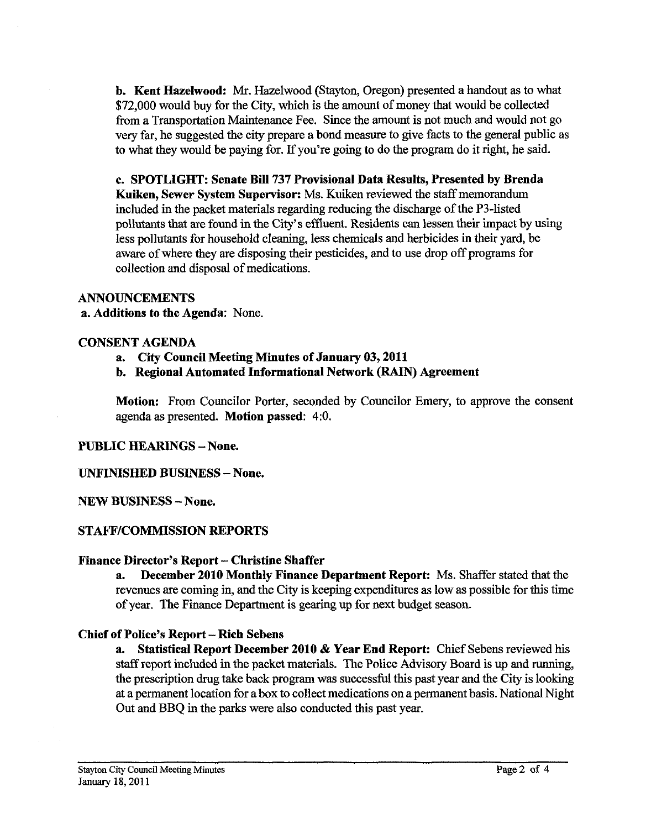**b. Kent Hazelwood:** Mr. Hazelwood (Stayton, Oregon) presented a handout as to what \$72,000 would buy for the City, which is the amount of money that would be collected from a Transportation Maintenance Fee. Since the amount is not much and would not go very far, he suggested the city prepare a bond measure to give facts to the general public as to what they would be paying for. If you're going to do the program do it right, he said.

**c. SPOTLIGHT: Senate Bill 737 Provisional Data Results, Presented by Brenda Kuiken, Sewer System Supervisor:** Ms. Kuiken reviewed the staff memorandum included in the packet materials regarding reducing the discharge of the P3-listed pollutants that are found in the City's effluent. Residents can lessen their impact by using less pollutants for household cleaning, less chemicals and herbicides in their yard, be aware of where they are disposing their pesticides, and to use drop off programs for collection and disposal of medications.

### **ANNOUNCEMENTS**

**a. Additions to the Agenda:** None.

### **CONSENT AGENDA**

- **a. City Council Meeting Minutes of January 03,2011**
- **b. Regional Automated Informational Network (RAIN) Agreement**

**Motion:** From Councilor Porter, seconded by Councilor Emery, to approve the consent agenda as presented. **Motion passed:** 4:O.

### **PUBLIC HEARINGS -None.**

### **UNFINISHED BUSINESS -None.**

**NEW BUSINESS -None.** 

### **STAFFICOMMISSION REPORTS**

### **Finance Director's Report** - **Christine Shaffer**

**a. December 2010 Monthly Finance Department Report:** Ms. Shaffer stated that the revenues are coming in, and the City is keeping expenditures as low as possible for this time of year. The Finance Department is gearing up for next budget season.

### **Chief of Police's Report** - **Rich Sebens**

**a. Statistical Report December 2010** & **Year End Report:** Chief Sebens reviewed his staff report included in the packet materials. The Police Advisory Board is up and running, the prescription drug take back program was successful this past year and the City is looking at a permanent location for a box to collect medications on a permanent basis. National Night Out and BBQ in the parks were also conducted this past year.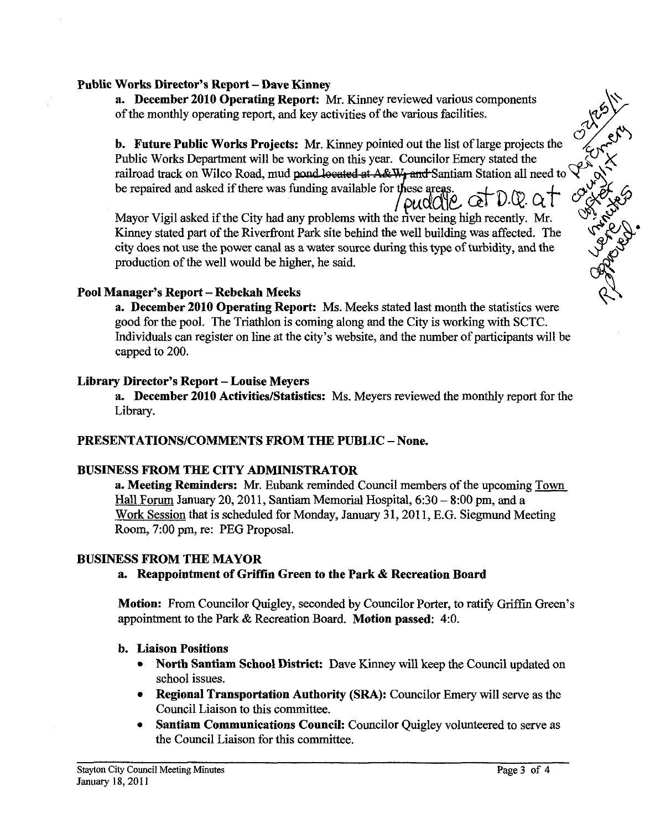## **Public Works Director's Report -Dave Kinney**

**a. December 2010 Operating Report: Mr.** Kinney reviewed various components of the monthly operating report, and key activities of the various facilities.

**b. Future Public Works Projects: Mr.** Kinney pointed out the list of large projects the Public Works Department will be working on this year. Councilor Emery stated the railroad track on Wilco Road, mud pond located at A&W<sub>r</sub> and Santiam Station all need to be repaired and asked if there was funding available for these areas  $\sqrt{\frac{\text{O}}{11}}$ **&u~i~** ~t D-@- *at* 

Mayor Vigil asked if the City had any problems with the river being high recently. Mr. Kinney stated part of the Riverfront Park site behind the well building was affected. The city does not use the power canal as a water source during this type of turbidity, and the production of the well would be higher, he said.

# **Pool Manager's Report** - **Rebekah Meeks**

**a. December 2010 Operating Report:** Ms. Meeks stated last month the statistics were good for the pool. The Triathlon is coming along and the City is working with SCTC. Individuals can register on line at the city's website, and the number of participants will be capped to 200.

### **Library Director's Report** - **Louise Meyers**

**a. December 2010 Activities/Statistics:** Ms. Meyers reviewed the monthly report for the Library.

# **PRESENTATIONS/COMMENTS FROM THE PUBLIC** - **None.**

# **BUSINESS FROM THE CITY ADMINISTRATOR**

**a. Meeting Reminders: Mr.** Eubank reminded Council members of the upcoming Town Hall Forum January 20, 2011, Santiam Memorial Hospital,  $6:30 - 8:00$  pm, and a Work Session that is scheduled for Monday, January 31, 2011, E.G. Siegmund Meeting Room, 7:00 pm, re: PEG Proposal.

### **BUSINESS FROM THE MAYOR**

# a. Reappointment of Griffin Green to the Park & Recreation Board

**Motion:** From Councilor Quigley, seconded by Councilor Porter, to ratify Griffin Green's appointment to the Park & Recreation Board. **Motion passed:** 4:O.

### **b. Liaison Positions**

- **North Santiam School District:** Dave Kinney will keep the Council updated on school issues.
- **Regional Transportation Authority (SRA):** Councilor Emery will serve as the Council Liaison to this committee.
- **Santiam Communications Council:** Councilor Quigley volunteered to serve as the Council Liaison for this committee.